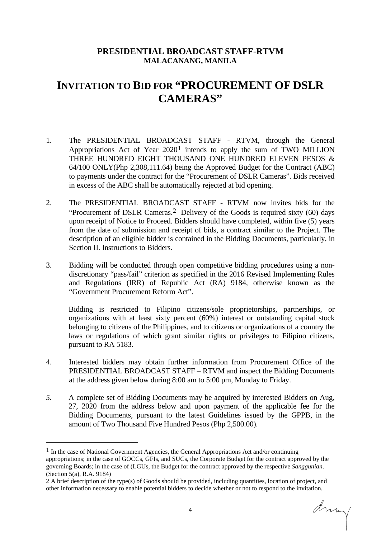## **PRESIDENTIAL BROADCAST STAFF-RTVM MALACANANG, MANILA**

## **INVITATION TO BID FOR "PROCUREMENT OF DSLR CAMERAS"**

- 1. The PRESIDENTIAL BROADCAST STAFF RTVM, through the General Appropriations Act of Year 2020[1](#page-0-0) intends to apply the sum of TWO MILLION THREE HUNDRED EIGHT THOUSAND ONE HUNDRED ELEVEN PESOS & 64/100 ONLY(Php 2,308,111.64) being the Approved Budget for the Contract (ABC) to payments under the contract for the "Procurement of DSLR Cameras". Bids received in excess of the ABC shall be automatically rejected at bid opening.
- 2. The PRESIDENTIAL BROADCAST STAFF RTVM now invites bids for the "Procurement of DSLR Cameras.[2](#page-0-1) Delivery of the Goods is required sixty (60) days upon receipt of Notice to Proceed. Bidders should have completed, within five (5) years from the date of submission and receipt of bids, a contract similar to the Project. The description of an eligible bidder is contained in the Bidding Documents, particularly, in Section II. Instructions to Bidders.
- 3. Bidding will be conducted through open competitive bidding procedures using a nondiscretionary "pass/fail" criterion as specified in the 2016 Revised Implementing Rules and Regulations (IRR) of Republic Act (RA) 9184, otherwise known as the "Government Procurement Reform Act".

Bidding is restricted to Filipino citizens/sole proprietorships, partnerships, or organizations with at least sixty percent (60%) interest or outstanding capital stock belonging to citizens of the Philippines, and to citizens or organizations of a country the laws or regulations of which grant similar rights or privileges to Filipino citizens, pursuant to RA 5183.

- 4. Interested bidders may obtain further information from Procurement Office of the PRESIDENTIAL BROADCAST STAFF – RTVM and inspect the Bidding Documents at the address given below during 8:00 am to 5:00 pm, Monday to Friday.
- *5.* A complete set of Bidding Documents may be acquired by interested Bidders on Aug, 27, 2020 from the address below and upon payment of the applicable fee for the Bidding Documents, pursuant to the latest Guidelines issued by the GPPB, in the amount of Two Thousand Five Hundred Pesos (Php 2,500.00).

Array

<span id="page-0-0"></span> $<sup>1</sup>$  In the case of National Government Agencies, the General Appropriations Act and/or continuing</sup> appropriations; in the case of GOCCs, GFIs, and SUCs, the Corporate Budget for the contract approved by the governing Boards; in the case of (LGUs, the Budget for the contract approved by the respective *Sanggunian*. (Section 5(a), R.A. 9184)

<span id="page-0-1"></span><sup>2</sup> A brief description of the type(s) of Goods should be provided, including quantities, location of project, and other information necessary to enable potential bidders to decide whether or not to respond to the invitation.